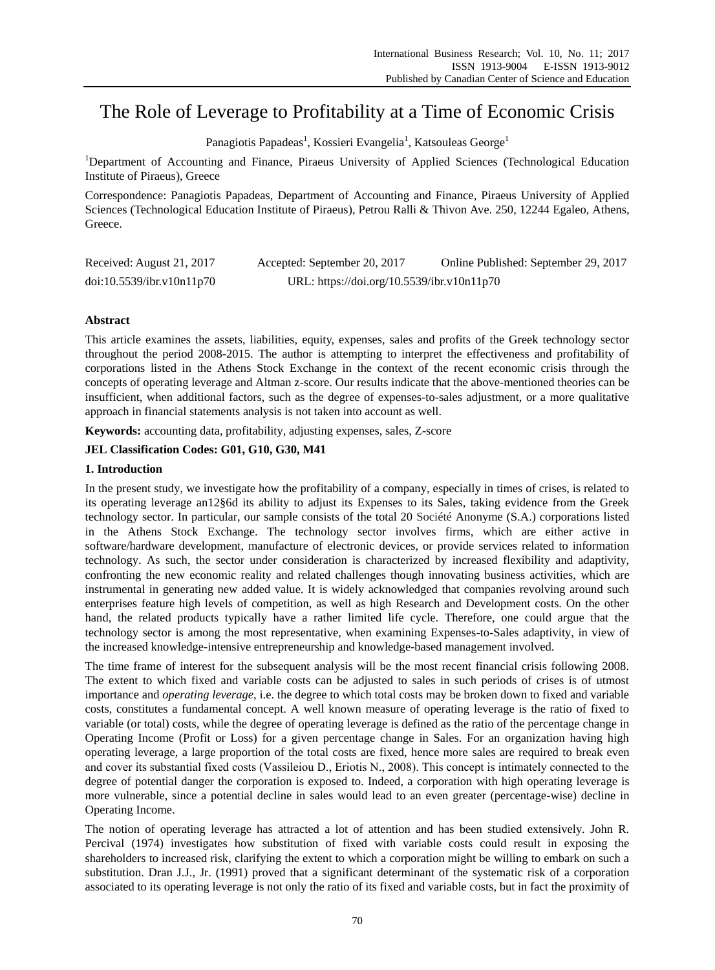# The Role of Leverage to Profitability at a Time of Economic Crisis

Panagiotis Papadeas<sup>1</sup>, Kossieri Evangelia<sup>1</sup>, Katsouleas George<sup>1</sup>

<sup>1</sup>Department of Accounting and Finance, Piraeus University of Applied Sciences (Technological Education Institute of Piraeus), Greece

Correspondence: Panagiotis Papadeas, Department of Accounting and Finance, Piraeus University of Applied Sciences (Technological Education Institute of Piraeus), Petrou Ralli & Thivon Ave. 250, 12244 Egaleo, Athens, Greece.

| Received: August 21, 2017 | Accepted: September 20, 2017               | Online Published: September 29, 2017 |
|---------------------------|--------------------------------------------|--------------------------------------|
| doi:10.5539/ibr.v10n11p70 | URL: https://doi.org/10.5539/ibr.v10n11p70 |                                      |

# **Abstract**

This article examines the assets, liabilities, equity, expenses, sales and profits of the Greek technology sector throughout the period 2008-2015. The author is attempting to interpret the effectiveness and profitability of corporations listed in the Athens Stock Exchange in the context of the recent economic crisis through the concepts of operating leverage and Altman z-score. Our results indicate that the above-mentioned theories can be insufficient, when additional factors, such as the degree of expenses-to-sales adjustment, or a more qualitative approach in financial statements analysis is not taken into account as well.

**Keywords:** accounting data, profitability, adjusting expenses, sales, Z**-**score

# **JEL Classification Codes: G01, G10, G30, M41**

## **1. Introduction**

In the present study, we investigate how the profitability of a company, especially in times of crises, is related to its operating leverage an12§6d its ability to adjust its Expenses to its Sales, taking evidence from the Greek technology sector. In particular, our sample consists of the total 20 Soci  $\acute{\text{a}}\acute{\text{e}}$  Anonyme (S.A.) corporations listed in the Athens Stock Exchange. The technology sector involves firms, which are either active in software/hardware development, manufacture of electronic devices, or provide services related to information technology. As such, the sector under consideration is characterized by increased flexibility and adaptivity, confronting the new economic reality and related challenges though innovating business activities, which are instrumental in generating new added value. It is widely acknowledged that companies revolving around such enterprises feature high levels of competition, as well as high Research and Development costs. On the other hand, the related products typically have a rather limited life cycle. Therefore, one could argue that the technology sector is among the most representative, when examining Expenses-to-Sales adaptivity, in view of the increased knowledge-intensive entrepreneurship and knowledge-based management involved.

The time frame of interest for the subsequent analysis will be the most recent financial crisis following 2008. The extent to which fixed and variable costs can be adjusted to sales in such periods of crises is of utmost importance and *operating leverage*, i.e. the degree to which total costs may be broken down to fixed and variable costs, constitutes a fundamental concept. A well known measure of operating leverage is the ratio of fixed to variable (or total) costs, while the degree of operating leverage is defined as the ratio of the percentage change in Operating Income (Profit or Loss) for a given percentage change in Sales. For an organization having high operating leverage, a large proportion of the total costs are fixed, hence more sales are required to break even and cover its substantial fixed costs (Vassileiou D., Eriotis Ν., 2008). This concept is intimately connected to the degree of potential danger the corporation is exposed to. Indeed, a corporation with high operating leverage is more vulnerable, since a potential decline in sales would lead to an even greater (percentage-wise) decline in Operating Income.

The notion of operating leverage has attracted a lot of attention and has been studied extensively. John R. Percival (1974) investigates how substitution of fixed with variable costs could result in exposing the shareholders to increased risk, clarifying the extent to which a corporation might be willing to embark on such a substitution. Dran J.J., Jr. (1991) proved that a significant determinant of the systematic risk of a corporation associated to its operating leverage is not only the ratio of its fixed and variable costs, but in fact the proximity of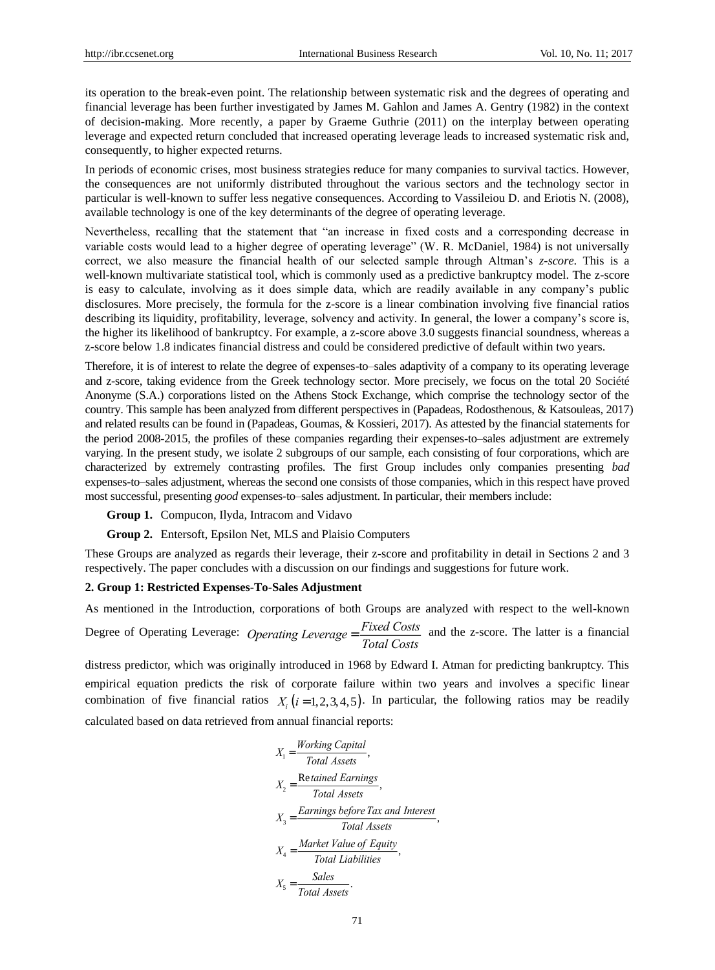its operation to the break-even point. The relationship between systematic risk and the degrees of operating and financial leverage has been further investigated by James M. Gahlon and James A. Gentry (1982) in the context of decision-making. More recently, a paper by Graeme Guthrie (2011) on the interplay between operating leverage and expected return concluded that increased operating leverage leads to increased systematic risk and, consequently, to higher expected returns.

In periods of economic crises, most business strategies reduce for many companies to survival tactics. However, the consequences are not uniformly distributed throughout the various sectors and the technology sector in particular is well-known to suffer less negative consequences. According to Vassileiou D. and Eriotis N. (2008), available technology is one of the key determinants of the degree of operating leverage.

Nevertheless, recalling that the statement that "an increase in fixed costs and a corresponding decrease in variable costs would lead to a higher degree of operating leverage" (W. R. McDaniel, 1984) is not universally correct, we also measure the financial health of our selected sample through Altman's *z-score*. This is a well-known multivariate statistical tool, which is commonly used as a predictive bankruptcy model. The z-score is easy to calculate, involving as it does simple data, which are readily available in any company's public disclosures. More precisely, the formula for the z-score is a linear combination involving five financial ratios describing its liquidity, profitability, leverage, solvency and activity. In general, the lower a company's score is, the higher its likelihood of bankruptcy. For example, a z-score above 3.0 suggests financial soundness, whereas a z-score below 1.8 indicates financial distress and could be considered predictive of default within two years.

Therefore, it is of interest to relate the degree of expenses-to–sales adaptivity of a company to its operating leverage and z-score, taking evidence from the Greek technology sector. More precisely, we focus on the total 20 Soci  $\acute{\text{t}}$  é Anonyme (S.A.) corporations listed on the Athens Stock Exchange, which comprise the technology sector of the country. This sample has been analyzed from different perspectives in (Papadeas, Rodosthenous, & Katsouleas, 2017) and related results can be found in (Papadeas, Goumas, & Kossieri, 2017). As attested by the financial statements for the period 2008-2015, the profiles of these companies regarding their expenses-to–sales adjustment are extremely varying. In the present study, we isolate 2 subgroups of our sample, each consisting of four corporations, which are characterized by extremely contrasting profiles. The first Group includes only companies presenting *bad* expenses-to–sales adjustment, whereas the second one consists of those companies, which in this respect have proved most successful, presenting *good* expenses-to–sales adjustment. In particular, their members include:

**Group 1.** Compucon, Ilyda, Intracom and Vidavo

**Group 2.** Entersoft, Epsilon Net, MLS and Plaisio Computers

These Groups are analyzed as regards their leverage, their z-score and profitability in detail in Sections 2 and 3 respectively. The paper concludes with a discussion on our findings and suggestions for future work.

#### **2. Group 1: Restricted Expenses-To-Sales Adjustment**

As mentioned in the Introduction, corporations of both Groups are analyzed with respect to the well-known

Degree of Operating Leverage: *Operating Leverage* = *Fixed Costs Total Costs* and the z-score. The latter is a financial

distress predictor, which was originally introduced in 1968 by Edward I. Atman for predicting bankruptcy. This empirical equation predicts the risk of corporate failure within two years and involves a specific linear combination of five financial ratios  $X_i$  ( $i = 1, 2, 3, 4, 5$ ). In particular, the following ratios may be readily calculated based on data retrieved from annual financial reports:

$$
X_1 = \frac{Working Capital}{Total Assets},
$$
  
\n
$$
X_2 = \frac{Retained Earning}{Total Assets},
$$
  
\n
$$
X_3 = \frac{Earnings before Tax and Interest}{Total Assets},
$$
  
\n
$$
X_4 = \frac{Market Value of Equity}{Total Liabilities},
$$
  
\n
$$
X_5 = \frac{Sales}{Total Assets}.
$$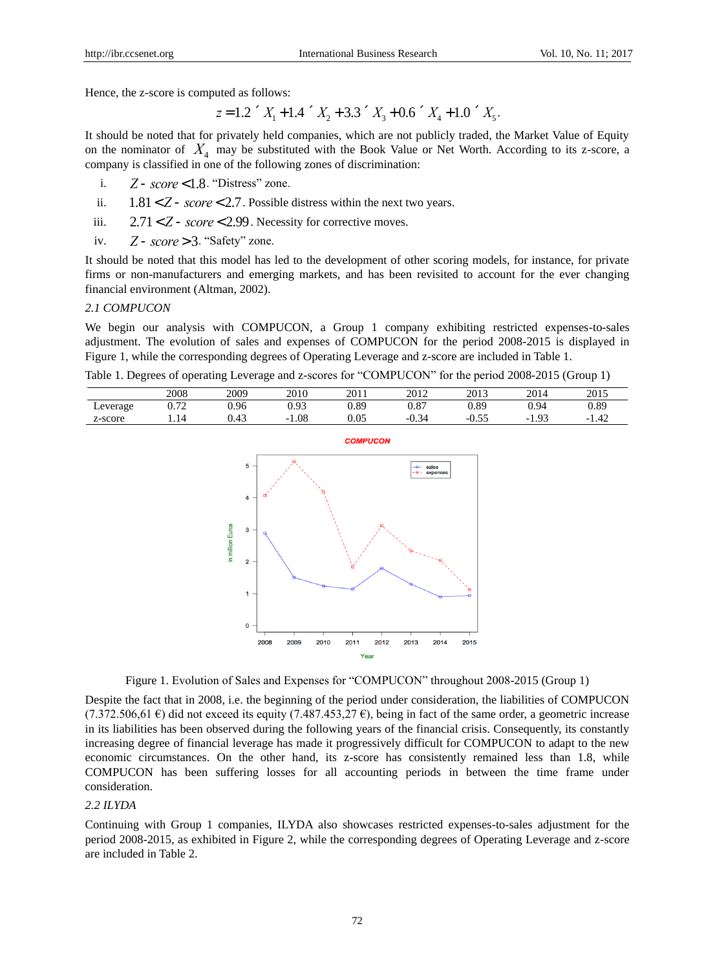Hence, the z-score is computed as follows:

$$
z = 1.2 \times X_1 + 1.4 \times X_2 + 3.3 \times X_3 + 0.6 \times X_4 + 1.0 \times X_5.
$$

It should be noted that for privately held companies, which are not publicly traded, the Market Value of Equity on the nominator of  $X_4$  may be substituted with the Book Value or Net Worth. According to its z-score, a company is classified in one of the following zones of discrimination:

i. *Z* - *score* <1.8 . "Distress" zone.

- ii.  $1.81 < Z$  - *score* < 2.7. Possible distress within the next two years.
- iii. 2.71< *Z* - *score* < 2.99 . Necessity for corrective moves.
- iv. *Z* - *score* > 3 . "Safety" zone.

It should be noted that this model has led to the development of other scoring models, for instance, for private firms or non-manufacturers and emerging markets, and has been revisited to account for the ever changing financial environment (Altman, 2002).

## *2.1 COMPUCON*

We begin our analysis with COMPUCON, a Group 1 company exhibiting restricted expenses-to-sales adjustment. The evolution of sales and expenses of COMPUCON for the period 2008-2015 is displayed in Figure 1, while the corresponding degrees of Operating Leverage and z-score are included in Table 1.

Table 1. Degrees of operating Leverage and z-scores for "COMPUCON" for the period 2008-2015 (Group 1)

|          | 2008               | 2009              | 2010        | 2011     | 2012            | 2013           | 2014                        | 2015        |
|----------|--------------------|-------------------|-------------|----------|-----------------|----------------|-----------------------------|-------------|
| Leverage | $\sim$ 70<br>∪. 1∠ | 0.96              | በ 93        | 0.89     | റ റൌ<br>U.O.    | 0.89           | 0.94                        | 0.89        |
| z-score  |                    | $\Lambda$<br>U.4J | 1.08<br>- 1 | $0.05\,$ | $\sim$<br>-V.34 | $ -$<br>$-0.5$ | $^{\Omega}$<br>- 1<br>ر د ۱ | - 1<br>1.44 |



Figure 1. Evolution of Sales and Expenses for "COMPUCON" throughout 2008-2015 (Group 1)

Despite the fact that in 2008, i.e. the beginning of the period under consideration, the liabilities of COMPUCON (7.372.506,61  $\epsilon$ ) did not exceed its equity (7.487.453.27  $\epsilon$ ), being in fact of the same order, a geometric increase in its liabilities has been observed during the following years of the financial crisis. Consequently, its constantly increasing degree of financial leverage has made it progressively difficult for COMPUCON to adapt to the new economic circumstances. On the other hand, its z-score has consistently remained less than 1.8, while COMPUCON has been suffering losses for all accounting periods in between the time frame under consideration.

## *2.2 ILYDA*

Continuing with Group 1 companies, ILYDA also showcases restricted expenses-to-sales adjustment for the period 2008-2015, as exhibited in Figure 2, while the corresponding degrees of Operating Leverage and z-score are included in Table 2.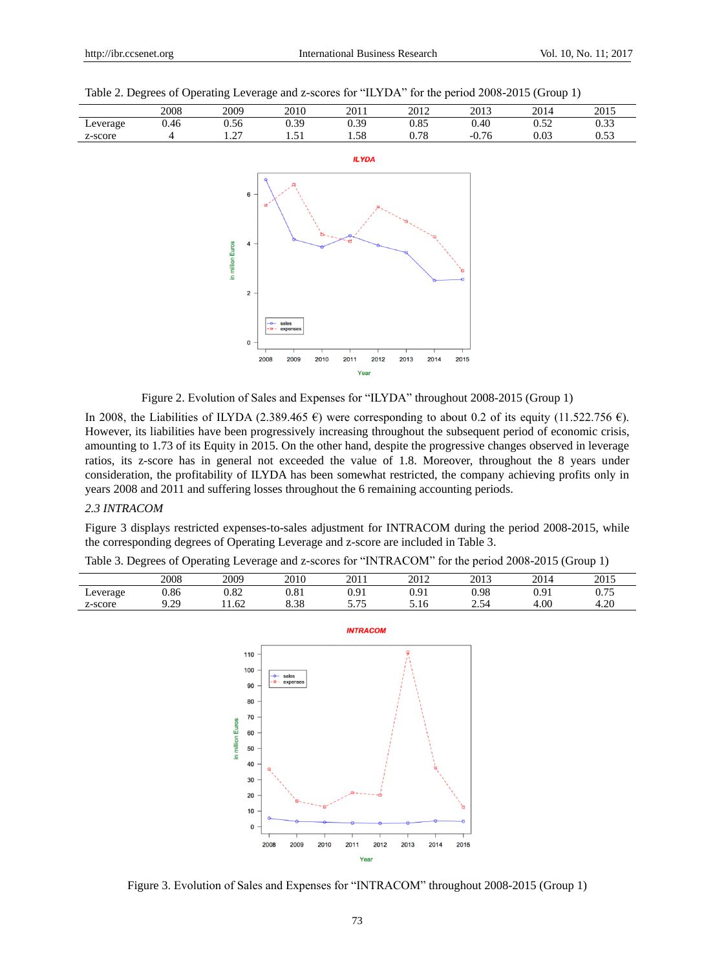|  |  | Table 2. Degrees of Operating Leverage and z-scores for "ILYDA" for the period 2008-2015 (Group 1) |  |
|--|--|----------------------------------------------------------------------------------------------------|--|
|  |  |                                                                                                    |  |





Figure 2. Evolution of Sales and Expenses for "ILYDA" throughout 2008-2015 (Group 1)

In 2008, the Liabilities of ILYDA (2.389.465 €) were corresponding to about 0.2 of its equity (11.522.756 €). However, its liabilities have been progressively increasing throughout the subsequent period of economic crisis, amounting to 1.73 of its Equity in 2015. On the other hand, despite the progressive changes observed in leverage ratios, its z-score has in general not exceeded the value of 1.8. Moreover, throughout the 8 years under consideration, the profitability of ILYDA has been somewhat restricted, the company achieving profits only in years 2008 and 2011 and suffering losses throughout the 6 remaining accounting periods.

## *2.3 INTRACOM*

Figure 3 displays restricted expenses-to-sales adjustment for INTRACOM during the period 2008-2015, while the corresponding degrees of Operating Leverage and z-score are included in Table 3.

| Table 3. Degrees of Operating Leverage and z-scores for "INTRACOM" for the period 2008-2015 (Group 1) |  |  |  |  |
|-------------------------------------------------------------------------------------------------------|--|--|--|--|
|                                                                                                       |  |  |  |  |

|          | 2008         | 2009        | 2010 | 2011           | 2012 | 2013 | 2014                 | 2015           |
|----------|--------------|-------------|------|----------------|------|------|----------------------|----------------|
| Leverage | 0.86         | ר ס<br>J.OZ | 0.81 | ∩ Q1<br>v. . 1 | 0.91 | 0.98 | $^{\Omega}$<br>v. ji | ሰ ማድ<br>u. 7 J |
| z-score  | 29<br>ر بے . | 1.62        | 8.38 | ر ، ، ب        | 5.16 | ∙ر…  | 4.00                 | 4.20           |



Figure 3. Evolution of Sales and Expenses for "INTRACOM" throughout 2008-2015 (Group 1)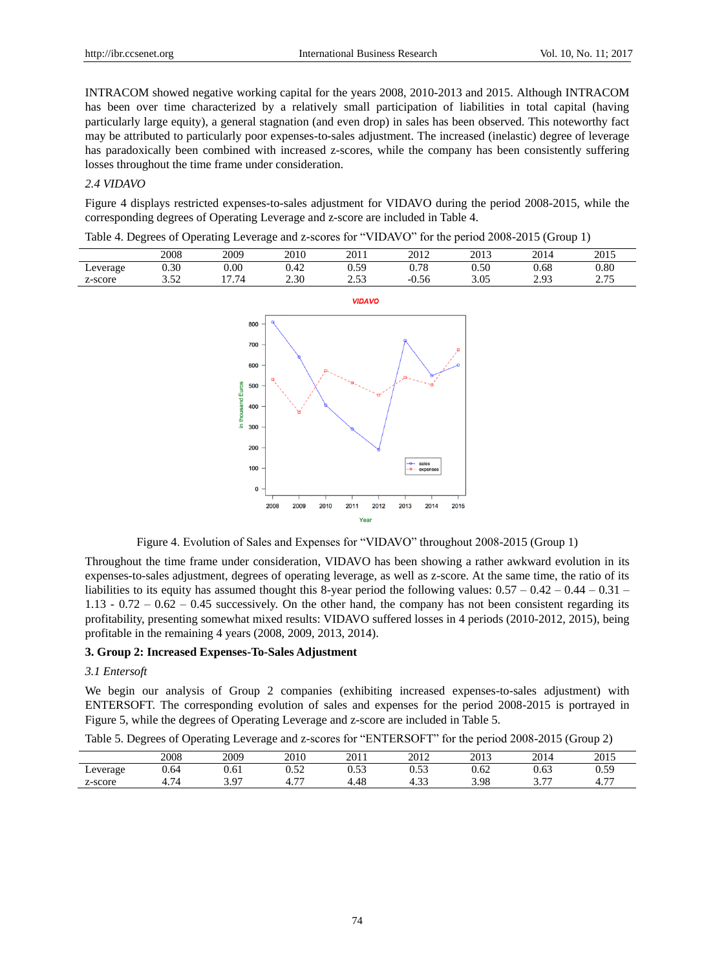INTRACOM showed negative working capital for the years 2008, 2010-2013 and 2015. Although INTRACOM has been over time characterized by a relatively small participation of liabilities in total capital (having particularly large equity), a general stagnation (and even drop) in sales has been observed. This noteworthy fact may be attributed to particularly poor expenses-to-sales adjustment. The increased (inelastic) degree of leverage has paradoxically been combined with increased z-scores, while the company has been consistently suffering losses throughout the time frame under consideration.

## *2.4 VIDAVO*

Figure 4 displays restricted expenses-to-sales adjustment for VIDAVO during the period 2008-2015, while the corresponding degrees of Operating Leverage and z-score are included in Table 4.

Table 4. Degrees of Operating Leverage and z-scores for "VIDAVO" for the period 2008-2015 (Group 1)

| $_{0.80}$<br>0.30<br>$0.00\,$<br>0.78<br>0.50<br>0.68<br>5۵ ۱<br>0.42<br>∟everage<br>∪.⊃<br>3.05<br>7 74<br>2.30<br>າເາ<br>$\Omega$ $\pi$<br>$\epsilon$<br>$^{\Omega}$<br>$-0.56$<br>z-score<br>ر ر. ب<br>ن ا ن<br>ر د ک<br>ے ر.ر | 2008 | 2009 | 2010 | 2011 | 2012 | 2013 | 2014 | 2015 |
|-----------------------------------------------------------------------------------------------------------------------------------------------------------------------------------------------------------------------------------|------|------|------|------|------|------|------|------|
|                                                                                                                                                                                                                                   |      |      |      |      |      |      |      |      |
|                                                                                                                                                                                                                                   |      |      |      |      |      |      |      |      |



Figure 4. Evolution of Sales and Expenses for "VIDAVO" throughout 2008-2015 (Group 1)

Throughout the time frame under consideration, VIDAVO has been showing a rather awkward evolution in its expenses-to-sales adjustment, degrees of operating leverage, as well as z-score. At the same time, the ratio of its liabilities to its equity has assumed thought this 8-year period the following values:  $0.57 - 0.42 - 0.44 - 0.31 - 0.31$ 1.13 -  $0.72 - 0.62 - 0.45$  successively. On the other hand, the company has not been consistent regarding its profitability, presenting somewhat mixed results: VIDAVO suffered losses in 4 periods (2010-2012, 2015), being profitable in the remaining 4 years (2008, 2009, 2013, 2014).

#### **3. Group 2: Increased Expenses-To-Sales Adjustment**

#### *3.1 Entersoft*

We begin our analysis of Group 2 companies (exhibiting increased expenses-to-sales adjustment) with ENTERSOFT. The corresponding evolution of sales and expenses for the period 2008-2015 is portrayed in Figure 5, while the degrees of Operating Leverage and z-score are included in Table 5.

Table 5. Degrees of Operating Leverage and z-scores for "ENTERSOFT" for the period 2008-2015 (Group 2)

|          | ~                                    | $\tilde{\phantom{a}}$ | ~                               |                       |                 |      |          |                 |
|----------|--------------------------------------|-----------------------|---------------------------------|-----------------------|-----------------|------|----------|-----------------|
|          | 2008                                 | 2009                  | 2010                            | 2011                  | 2012            | 2013 | 2014     | 2015            |
| Leverage | 0.64                                 | 0.61                  | n ro<br>∪.J∠                    | $\sim$ $\sim$<br>ບ.ບປ | በ 52<br>v.JJ    | 0.62 | 0.63     | 0.59            |
| z-score  | $\overline{\phantom{0}}$<br>4<br>٠., | 3.97                  | $\overline{\phantom{a}}$<br>4.1 | 4.48                  | $\sim$<br>+. JJ | 3.98 | $-$<br>. | $- -$<br>$+1.1$ |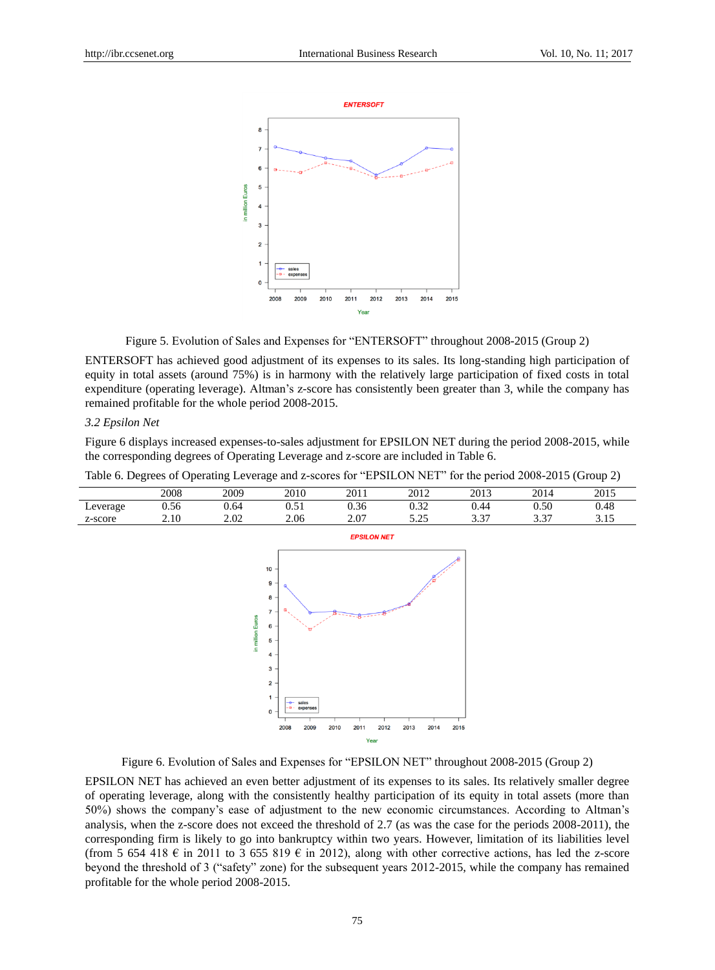

Figure 5. Evolution of Sales and Expenses for "ENTERSOFT" throughout 2008-2015 (Group 2)

ENTERSOFT has achieved good adjustment of its expenses to its sales. Its long-standing high participation of equity in total assets (around 75%) is in harmony with the relatively large participation of fixed costs in total expenditure (operating leverage). Altman's z-score has consistently been greater than 3, while the company has remained profitable for the whole period 2008-2015.

## *3.2 Epsilon Net*

Figure 6 displays increased expenses-to-sales adjustment for EPSILON NET during the period 2008-2015, while the corresponding degrees of Operating Leverage and z-score are included in Table 6.

| Table 6. Degrees of Operating Leverage and z-scores for "EPSILON NET" for the period 2008-2015 (Group 2) |      |      |      |      |      |      |      |      |  |  |
|----------------------------------------------------------------------------------------------------------|------|------|------|------|------|------|------|------|--|--|
|                                                                                                          | 2008 | 2009 | 2010 | 2011 | 2012 | 2013 | 2014 | 2015 |  |  |
| Leverage                                                                                                 | 0.56 | 0.64 | 0.51 | 0.36 | 0.32 | 0.44 | 0.50 | 0.48 |  |  |



Figure 6. Evolution of Sales and Expenses for "EPSILON NET" throughout 2008-2015 (Group 2)

EPSILON NET has achieved an even better adjustment of its expenses to its sales. Its relatively smaller degree of operating leverage, along with the consistently healthy participation of its equity in total assets (more than 50%) shows the company's ease of adjustment to the new economic circumstances. According to Altman's analysis, when the z-score does not exceed the threshold of 2.7 (as was the case for the periods 2008-2011), the corresponding firm is likely to go into bankruptcy within two years. However, limitation of its liabilities level (from 5 654 418  $\epsilon$  in 2011 to 3 655 819  $\epsilon$  in 2012), along with other corrective actions, has led the z-score beyond the threshold of 3 ("safety" zone) for the subsequent years 2012-2015, while the company has remained profitable for the whole period 2008-2015.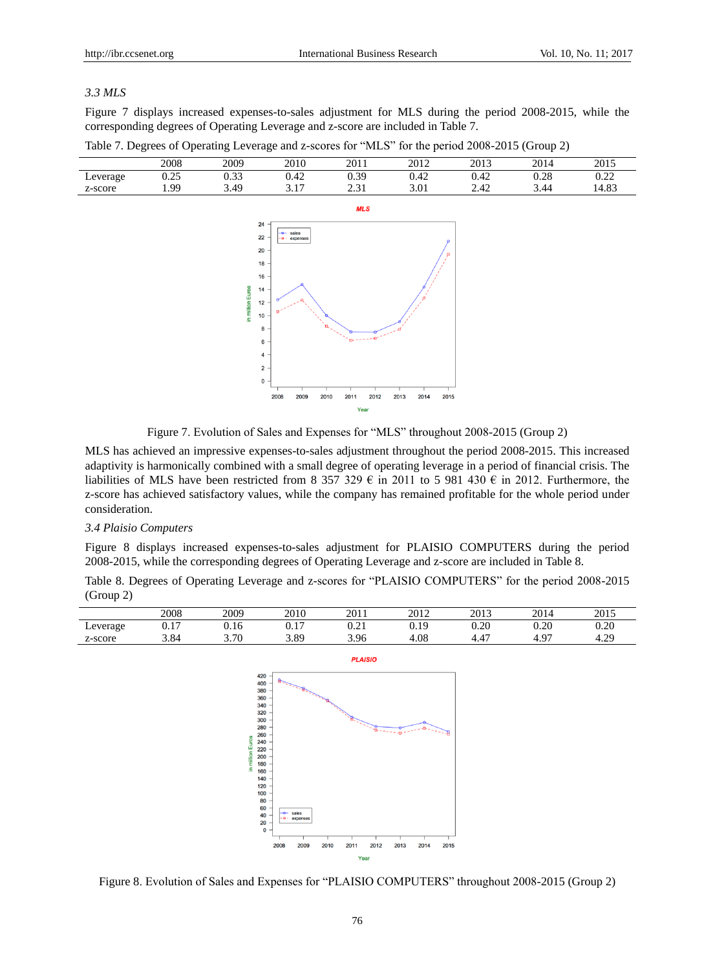## *3.3 MLS*

Figure 7 displays increased expenses-to-sales adjustment for MLS during the period 2008-2015, while the corresponding degrees of Operating Leverage and z-score are included in Table 7.

|          | 2008 | 2009 | 2010 | 2011        | 2012 | 2013 | 2014 | 2015  |
|----------|------|------|------|-------------|------|------|------|-------|
| Leverage | 0.25 | 0.33 | 0.42 | 0.39        | 0.42 | 0.42 | 0.28 | 0.22  |
| z-score  | . 99 | 3.49 | 3.17 | 2.31<br>ا ت | 3.01 | 2.42 | 3.44 | 14.83 |
|          |      |      |      | <b>MLS</b>  |      |      |      |       |
|          |      | 24   |      |             |      |      |      |       |

Table 7. Degrees of Operating Leverage and z-scores for "MLS" for the period 2008-2015 (Group 2)



Figure 7. Evolution of Sales and Expenses for "MLS" throughout 2008-2015 (Group 2)

MLS has achieved an impressive expenses-to-sales adjustment throughout the period 2008-2015. This increased adaptivity is harmonically combined with a small degree of operating leverage in a period of financial crisis. The liabilities of MLS have been restricted from 8 357 329  $\epsilon$  in 2011 to 5 981 430  $\epsilon$  in 2012. Furthermore, the z-score has achieved satisfactory values, while the company has remained profitable for the whole period under consideration.

#### *3.4 Plaisio Computers*

Figure 8 displays increased expenses-to-sales adjustment for PLAISIO COMPUTERS during the period 2008-2015, while the corresponding degrees of Operating Leverage and z-score are included in Table 8.

Table 8. Degrees of Operating Leverage and z-scores for "PLAISIO COMPUTERS" for the period 2008-2015 (Group 2)

|          | 2008        | 2009                             | 2010 | 2011 | 2012       | 2013            | 2014        | 2015      |
|----------|-------------|----------------------------------|------|------|------------|-----------------|-------------|-----------|
| Leverage | ר ר<br>v. 1 | $^{\circ}$ 1 $^{\prime}$<br>U.IO | v.i  | 0.41 | 1Q<br>U.I. | 0.20            | 0.20        | 0.20      |
| z-score  | 3.84        | 3.70                             | 3.89 | 3.96 | $^{4.08}$  | $\Lambda^-$<br> | . o-<br>т., | ാറ<br>4.2 |



Figure 8. Evolution of Sales and Expenses for "PLAISIO COMPUTERS" throughout 2008-2015 (Group 2)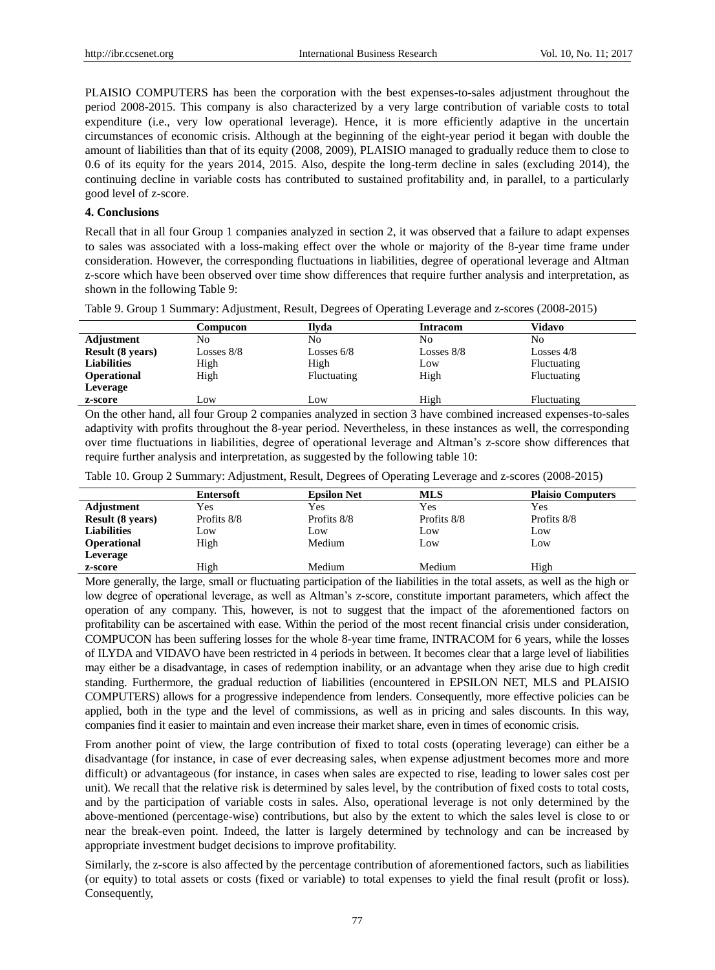PLAISIO COMPUTERS has been the corporation with the best expenses-to-sales adjustment throughout the period 2008-2015. This company is also characterized by a very large contribution of variable costs to total expenditure (i.e., very low operational leverage). Hence, it is more efficiently adaptive in the uncertain circumstances of economic crisis. Although at the beginning of the eight-year period it began with double the amount of liabilities than that of its equity (2008, 2009), PLAISIO managed to gradually reduce them to close to 0.6 of its equity for the years 2014, 2015. Also, despite the long-term decline in sales (excluding 2014), the continuing decline in variable costs has contributed to sustained profitability and, in parallel, to a particularly good level of z-score.

## **4. Conclusions**

Recall that in all four Group 1 companies analyzed in section 2, it was observed that a failure to adapt expenses to sales was associated with a loss-making effect over the whole or majority of the 8-year time frame under consideration. However, the corresponding fluctuations in liabilities, degree of operational leverage and Altman z-score which have been observed over time show differences that require further analysis and interpretation, as shown in the following Table 9:

Table 9. Group 1 Summary: Adjustment, Result, Degrees of Operating Leverage and z-scores (2008-2015)

|                         | Compucon                   | Ilvda        | <b>Intracom</b>                 | Vidavo             |
|-------------------------|----------------------------|--------------|---------------------------------|--------------------|
| Adjustment              | No                         | No           | No                              | No                 |
| <b>Result (8 years)</b> | Losses 8/8                 | Losses $6/8$ | Losses $8/8$                    | Losses $4/8$       |
| <b>Liabilities</b>      | High                       | High         | Low                             | <b>Fluctuating</b> |
| <b>Operational</b>      | High                       | Fluctuating  | High                            | Fluctuating        |
| Leverage                |                            |              |                                 |                    |
| z-score                 | Low                        | Low          | High                            | Fluctuating        |
| $\sim$ $\sim$<br>$\sim$ | $\sim$<br>$\sim$<br>$\sim$ | $\cdots$     | .<br>$\cdot$ .<br>$\sim$ $\sim$ |                    |

On the other hand, all four Group 2 companies analyzed in section 3 have combined increased expenses-to-sales adaptivity with profits throughout the 8-year period. Nevertheless, in these instances as well, the corresponding over time fluctuations in liabilities, degree of operational leverage and Altman's z-score show differences that require further analysis and interpretation, as suggested by the following table 10:

|  |  | Table 10. Group 2 Summary: Adjustment, Result, Degrees of Operating Leverage and z-scores (2008-2015) |  |
|--|--|-------------------------------------------------------------------------------------------------------|--|
|  |  |                                                                                                       |  |

|                         | <b>Entersoft</b> | <b>Epsilon Net</b> | <b>MLS</b>  | <b>Plaisio Computers</b> |
|-------------------------|------------------|--------------------|-------------|--------------------------|
| Adjustment              | Yes              | Yes                | Yes         | Yes                      |
| <b>Result (8 years)</b> | Profits 8/8      | Profits 8/8        | Profits 8/8 | Profits 8/8              |
| <b>Liabilities</b>      | Low              | Low                | Low         | Low                      |
| <b>Operational</b>      | High             | Medium             | Low         | Low                      |
| Leverage                |                  |                    |             |                          |
| z-score                 | High             | Medium             | Medium      | High                     |

More generally, the large, small or fluctuating participation of the liabilities in the total assets, as well as the high or low degree of operational leverage, as well as Altman's z-score, constitute important parameters, which affect the operation of any company. This, however, is not to suggest that the impact of the aforementioned factors on profitability can be ascertained with ease. Within the period of the most recent financial crisis under consideration, COMPUCON has been suffering losses for the whole 8-year time frame, INTRACOM for 6 years, while the losses of ILYDA and VIDAVO have been restricted in 4 periods in between. It becomes clear that a large level of liabilities may either be a disadvantage, in cases of redemption inability, or an advantage when they arise due to high credit standing. Furthermore, the gradual reduction of liabilities (encountered in EPSILON NET, MLS and PLAISIO COMPUTERS) allows for a progressive independence from lenders. Consequently, more effective policies can be applied, both in the type and the level of commissions, as well as in pricing and sales discounts. In this way, companies find it easier to maintain and even increase their market share, even in times of economic crisis.

From another point of view, the large contribution of fixed to total costs (operating leverage) can either be a disadvantage (for instance, in case of ever decreasing sales, when expense adjustment becomes more and more difficult) or advantageous (for instance, in cases when sales are expected to rise, leading to lower sales cost per unit). We recall that the relative risk is determined by sales level, by the contribution of fixed costs to total costs, and by the participation of variable costs in sales. Also, operational leverage is not only determined by the above-mentioned (percentage-wise) contributions, but also by the extent to which the sales level is close to or near the break-even point. Indeed, the latter is largely determined by technology and can be increased by appropriate investment budget decisions to improve profitability.

Similarly, the z-score is also affected by the percentage contribution of aforementioned factors, such as liabilities (or equity) to total assets or costs (fixed or variable) to total expenses to yield the final result (profit or loss). Consequently,